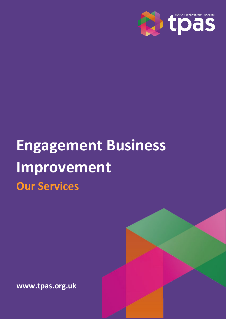

# **Engagement Business Improvement Our Services**

**www.tpas.org.uk**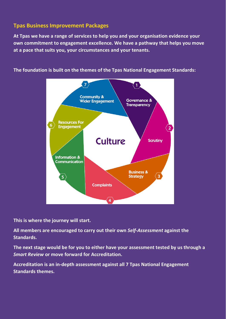# **Tpas Business Improvement Packages**

**At Tpas we have a range of services to help you and your organisation evidence your own commitment to engagement excellence. We have a pathway that helps you move at a pace that suits you, your circumstances and your tenants.**



**The foundation is built on the themes of the Tpas National Engagement Standards:**

**This is where the journey will start.**

**All members are encouraged to carry out their own** *Self-Assessment* **against the Standards.**

**The next stage would be for you to either have your assessment tested by us through a**  *Smart Review* **or move forward for Accreditation.** 

**Accreditation is an in-depth assessment against all 7 Tpas National Engagement Standards themes.**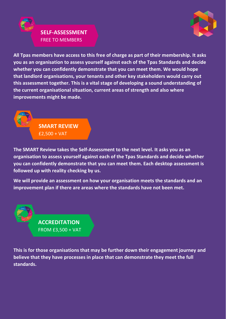

# **SELF-ASSESSMENT** FREE TO MEMBERS

**All Tpas members have access to this free of charge as part of their membership. It asks you as an organisation to assess yourself against each of the Tpas Standards and decide whether you can confidently demonstrate that you can meet them. We would hope that landlord organisations, your tenants and other key stakeholders would carry out this assessment together. This is a vital stage of developing a sound understanding of the current organisational situation, current areas of strength and also where improvements might be made.**

> **SMART REVIEW** £2,500 + VAT

**The SMART Review takes the Self-Assessment to the next level. It asks you as an organisation to assess yourself against each of the Tpas Standards and decide whether you can confidently demonstrate that you can meet them. Each desktop assessment is followed up with reality checking by us.**

**We will provide an assessment on how your organisation meets the standards and an improvement plan if there are areas where the standards have not been met.** 

> **ACCREDITATION** FROM £3,500 + VAT

**This is for those organisations that may be further down their engagement journey and believe that they have processes in place that can demonstrate they meet the full standards.**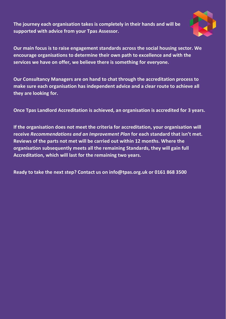**The journey each organisation takes is completely in their hands and will be supported with advice from your Tpas Assessor.** 



**Our main focus is to raise engagement standards across the social housing sector. We encourage organisations to determine their own path to excellence and with the services we have on offer, we believe there is something for everyone.** 

**Our Consultancy Managers are on hand to chat through the accreditation process to make sure each organisation has independent advice and a clear route to achieve all they are looking for.**

**Once Tpas Landlord Accreditation is achieved, an organisation is accredited for 3 years.** 

**If the organisation does not meet the criteria for accreditation, your organisation will receive** *Recommendations and an Improvement Plan* **for each standard that isn't met. Reviews of the parts not met will be carried out within 12 months. Where the organisation subsequently meets all the remaining Standards, they will gain full Accreditation, which will last for the remaining two years.** 

**Ready to take the next step? Contact us on [info@tpas.org.uk](mailto:info@tpas.org.uk) or 0161 868 3500**